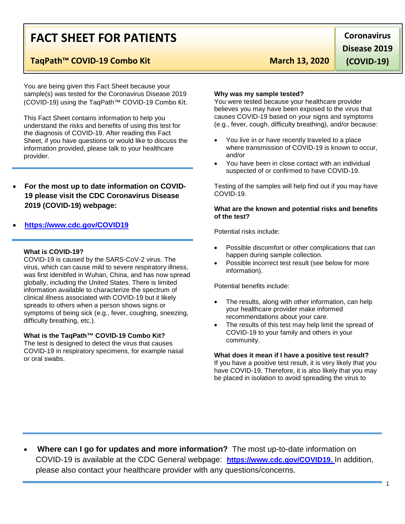# **FACT SHEET FOR PATIENTS**

## TaqPath™ COVID-19 Combo Kit March 13, 2020

You are being given this Fact Sheet because your sample(s) was tested for the Coronavirus Disease 2019 (COVID-19) using the TaqPath™ COVID-19 Combo Kit.

This Fact Sheet contains information to help you understand the risks and benefits of using this test for the diagnosis of COVID-19. After reading this Fact Sheet, if you have questions or would like to discuss the information provided, please talk to your healthcare provider.

• **For the most up to date information on COVID-19 please visit the CDC Coronavirus Disease 2019 (COVID-19) webpage:** 

### • **[https://www.cdc.gov/COVID19](https://www.cdc.gov/nCoV)**

#### **What is COVID-19?**

COVID-19 is caused by the SARS-CoV-2 virus. The virus, which can cause mild to severe respiratory illness, was first idenitifed in Wuhan, China, and has now spread globally, including the United States. There is limited information available to characterize the spectrum of clinical illness associated with COVID-19 but it likely spreads to others when a person shows signs or symptoms of being sick (e.g., fever, coughing, sneezing, difficulty breathing, etc.).

#### **What is the TaqPath™ COVID-19 Combo Kit?**

The test is designed to detect the virus that causes COVID-19 in respiratory specimens, for example nasal or oral swabs.

**Why was my sample tested?** You were tested because your healthcare provider believes you may have been exposed to the virus that causes COVID-19 based on your signs and symptoms (e.g., fever, cough, difficulty breathing), and/or because:

- You live in or have recently traveled to a place where transmission of COVID-19 is known to occur, and/or
- You have been in close contact with an individual suspected of or confirmed to have COVID-19.

Testing of the samples will help find out if you may have COVID-19.

#### **What are the known and potential risks and benefits of the test?**

Potential risks include:

- Possible discomfort or other complications that can happen during sample collection.
- Possible incorrect test result (see below for more information).

Potential benefits include:

- The results, along with other information, can help your healthcare provider make informed recommendations about your care.
- The results of this test may help limit the spread of COVID-19 to your family and others in your community.

#### **What does it mean if I have a positive test result?**

If you have a positive test result, it is very likely that you have COVID-19. Therefore, it is also likely that you may be placed in isolation to avoid spreading the virus to

• **Where can I go for updates and more information?** The most up-to-date information on COVID-19 is available at the CDC General webpage: **[https://www.cdc.gov/COVID19.](https://www.cdc.gov/nCoV)** In addition, please also contact your healthcare provider with any questions/concerns.

**Coronavirus Disease 2019** 

1

**(COVID-19)**